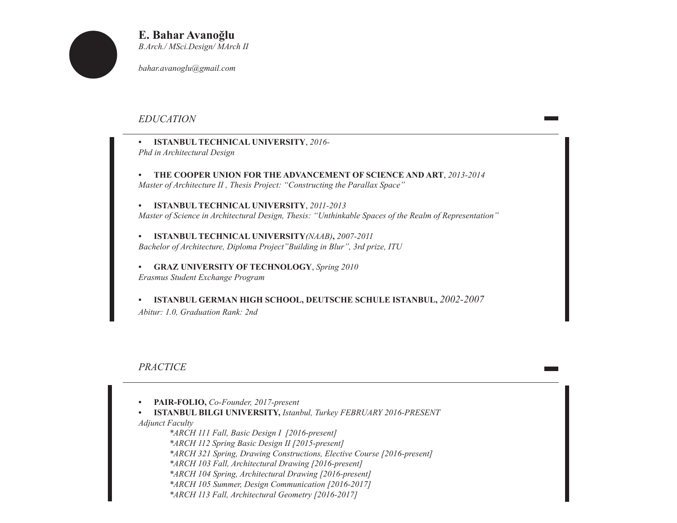

**E. Bahar Avanoğlu** *B.Arch./ MSci.Design/ MArch II*

*bahar.avanoglu@gmail.com*

# *EDUCATION*

- **• ISTANBUL TECHNICAL UNIVERSITY**, *2016- Phd in Architectural Design*
- **• THE COOPER UNION FOR THE ADVANCEMENT OF SCIENCE AND ART**, *2013-2014 Master of Architecture II , Thesis Project: "Constructing the Parallax Space"*

**• ISTANBUL TECHNICAL UNIVERSITY**, *2011-2013 Master of Science in Architectural Design, Thesis: "Unthinkable Spaces of the Realm of Representation"*

**• ISTANBUL TECHNICAL UNIVERSITY***(NAAB)***,** *2007-2011 Bachelor of Architecture, Diploma Project"Building in Blur", 3rd prize, ITU*

**• GRAZ UNIVERSITY OF TECHNOLOGY**, *Spring 2010 Erasmus Student Exchange Program*

**• ISTANBUL GERMAN HIGH SCHOOL, DEUTSCHE SCHULE ISTANBUL,** *2002-2007 Abitur: 1.0, Graduation Rank: 2nd*

*PRACTICE* 

- **• PAIR-FOLIO,** *Co-Founder, 2017-present*
- **• ISTANBUL BILGI UNIVERSITY,** *Istanbul, Turkey FEBRUARY 2016-PRESENT*

*Adjunct Faculty*

*\*ARCH 111 Fall, Basic Design I [2016-present] \*ARCH 112 Spring Basic Design II [2015-present] \*ARCH 321 Spring, Drawing Constructions, Elective Course [2016-present] \*ARCH 103 Fall, Architectural Drawing [2016-present] \*ARCH 104 Spring, Architectural Drawing [2016-present] \*ARCH 105 Summer, Design Communication [2016-2017] \*ARCH 113 Fall, Architectural Geometry [2016-2017]*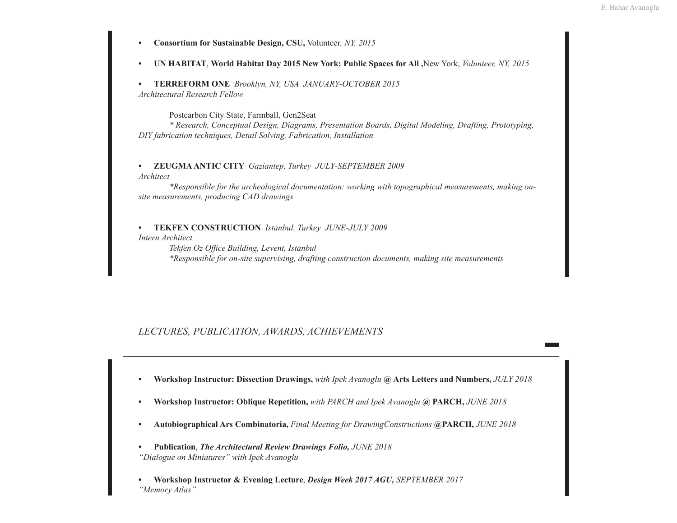- **• Consortium for Sustainable Design, CSU,** Volunteer*, NY, 2015*
- **• UN HABITAT**, **World Habitat Day 2015 New York: Public Spaces for All ,**New York, *Volunteer, NY, 2015*

**• TERREFORM ONE** *Brooklyn, NY, USA JANUARY-OCTOBER 2015 Architectural Research Fellow*

Postcarbon City State, Farmball, Gen2Seat

*\* Research, Conceptual Design, Diagrams, Presentation Boards, Digital Modeling, Drafting, Prototyping, DIY fabrication techniques, Detail Solving, Fabrication, Installation*

**• ZEUGMA ANTIC CITY** *Gaziantep, Turkey JULY-SEPTEMBER 2009 Architect*

*\*Responsible for the archeological documentation: working with topographical measurements, making onsite measurements, producing CAD drawings*

**• TEKFEN CONSTRUCTION** *Istanbul, Turkey JUNE-JULY 2009 Intern Architect*

> *Tekfen Oz Office Building, Levent, Istanbul \*Responsible for on-site supervising, drafting construction documents, making site measurements*

## *LECTURES, PUBLICATION, AWARDS, ACHIEVEMENTS*

- **• Workshop Instructor: Dissection Drawings,** *with Ipek Avanoglu* **@ Arts Letters and Numbers,** *JULY 2018*
- **• Workshop Instructor: Oblique Repetition,** *with PARCH and Ipek Avanoglu* **@ PARCH,** *JUNE 2018*
- **• Autobiographical Ars Combinatoria,** *Final Meeting for DrawingConstructions* **@PARCH,** *JUNE 2018*
- **• Publication**, *The Architectural Review Drawings Folio, JUNE 2018 "Dialogue on Miniatures" with Ipek Avanoglu*
- **• Workshop Instructor & Evening Lecture**, *Design Week 2017 AGU, SEPTEMBER 2017 "Memory Atlas"*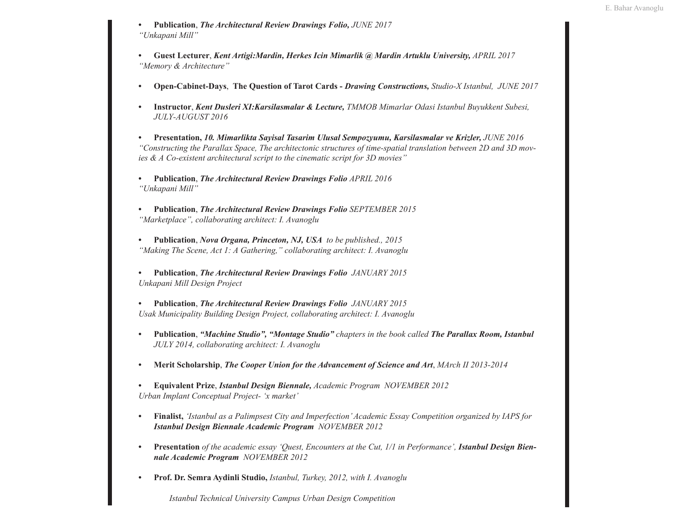- **• Publication**, *The Architectural Review Drawings Folio, JUNE 2017 "Unkapani Mill"*
- **• Guest Lecturer**, *Kent Artigi:Mardin, Herkes Icin Mimarlik @ Mardin Artuklu University, APRIL 2017 "Memory & Architecture"*
- **• Open-Cabinet-Days**, **The Question of Tarot Cards -** *Drawing Constructions, Studio-X Istanbul, JUNE 2017*
- **• Instructor**, *Kent Dusleri XI:Karsilasmalar & Lecture, TMMOB Mimarlar Odasi Istanbul Buyukkent Subesi, JULY-AUGUST 2016*
- **• Presentation,** *10. Mimarlikta Sayisal Tasarim Ulusal Sempozyumu, Karsilasmalar ve Krizler, JUNE 2016 "Constructing the Parallax Space, The architectonic structures of time-spatial translation between 2D and 3D movies & A Co-existent architectural script to the cinematic script for 3D movies"*
- **• Publication**, *The Architectural Review Drawings Folio APRIL 2016 "Unkapani Mill"*
- **• Publication**, *The Architectural Review Drawings Folio SEPTEMBER 2015 "Marketplace", collaborating architect: I. Avanoglu*
- **• Publication**, *Nova Organa, Princeton, NJ, USA to be published., 2015 "Making The Scene, Act 1: A Gathering," collaborating architect: I. Avanoglu*
- **• Publication**, *The Architectural Review Drawings Folio JANUARY 2015 Unkapani Mill Design Project*
- **• Publication**, *The Architectural Review Drawings Folio JANUARY 2015 Usak Municipality Building Design Project, collaborating architect: I. Avanoglu*
- **• Publication**, *"Machine Studio", "Montage Studio" chapters in the book called The Parallax Room, Istanbul JULY 2014, collaborating architect: I. Avanoglu*
- **• Merit Scholarship**, *The Cooper Union for the Advancement of Science and Art*, *MArch II 2013-2014*
- **• Equivalent Prize**, *Istanbul Design Biennale, Academic Program NOVEMBER 2012 Urban Implant Conceptual Project- 'x market'*
- **• Finalist,** *'Istanbul as a Palimpsest City and Imperfection' Academic Essay Competition organized by IAPS for Istanbul Design Biennale Academic Program NOVEMBER 2012*
- **• Presentation** *of the academic essay 'Quest, Encounters at the Cut, 1/1 in Performance', Istanbul Design Biennale Academic Program NOVEMBER 2012*
- **• Prof. Dr. Semra Aydinli Studio,** *Istanbul, Turkey, 2012, with I. Avanoglu*

*Istanbul Technical University Campus Urban Design Competition*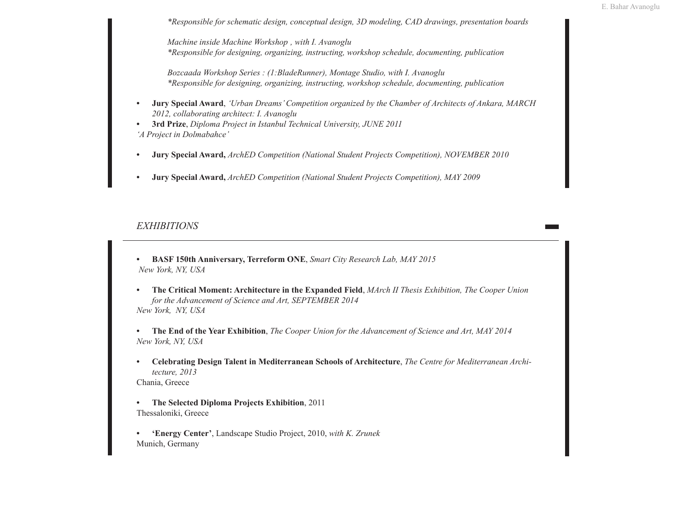*\*Responsible for schematic design, conceptual design, 3D modeling, CAD drawings, presentation boards*

*Machine inside Machine Workshop , with I. Avanoglu \*Responsible for designing, organizing, instructing, workshop schedule, documenting, publication*

*Bozcaada Workshop Series : (1:BladeRunner), Montage Studio, with I. Avanoglu \*Responsible for designing, organizing, instructing, workshop schedule, documenting, publication*

- **• Jury Special Award**, *'Urban Dreams' Competition organized by the Chamber of Architects of Ankara, MARCH 2012, collaborating architect: I. Avanoglu*
- **• 3rd Prize**, *Diploma Project in Istanbul Technical University, JUNE 2011 'A Project in Dolmabahce'*
- **• Jury Special Award,** *ArchED Competition (National Student Projects Competition), NOVEMBER 2010*
- **• Jury Special Award,** *ArchED Competition (National Student Projects Competition), MAY 2009*

### *EXHIBITIONS*

- **• BASF 150th Anniversary, Terreform ONE**, *Smart City Research Lab, MAY 2015 New York, NY, USA*
- **• The Critical Moment: Architecture in the Expanded Field**, *MArch II Thesis Exhibition, The Cooper Union for the Advancement of Science and Art, SEPTEMBER 2014 New York, NY, USA*
- **• The End of the Year Exhibition**, *The Cooper Union for the Advancement of Science and Art, MAY 2014 New York, NY, USA*
- **• Celebrating Design Talent in Mediterranean Schools of Architecture**, *The Centre for Mediterranean Architecture, 2013* Chania, Greece
- **• The Selected Diploma Projects Exhibition**, 2011 Thessaloniki, Greece
- **• 'Energy Center'**, Landscape Studio Project, 2010, *with K. Zrunek* Munich, Germany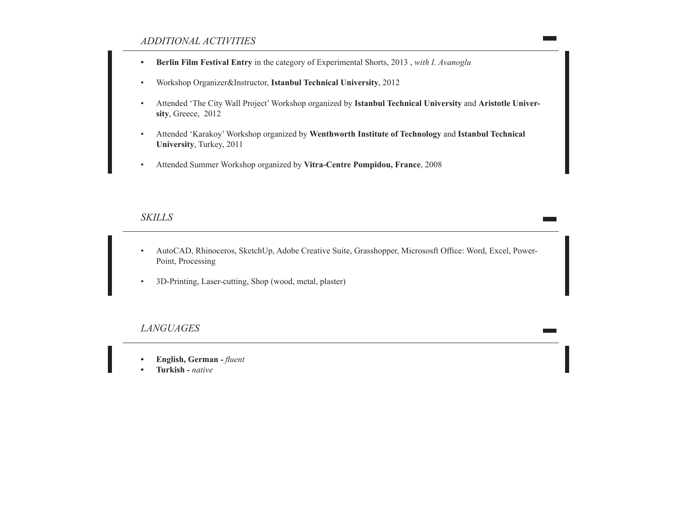### *ADDITIONAL ACTIVITIES*

- **• Berlin Film Festival Entry** in the category of Experimental Shorts, 2013 , *with I. Avanoglu*
- Workshop Organizer&Instructor, **Istanbul Technical University**, 2012
- Attended 'The City Wall Project' Workshop organized by **Istanbul Technical University** and **Aristotle University**, Greece, 2012
- Attended 'Karakoy' Workshop organized by **Wenthworth Institute of Technology** and **Istanbul Technical University**, Turkey, 2011
- Attended Summer Workshop organized by **Vitra-Centre Pompidou, France**, 2008

#### *SKILLS*

- AutoCAD, Rhinoceros, SketchUp, Adobe Creative Suite, Grasshopper, Micrososft Office: Word, Excel, Power-Point, Processing
- 3D-Printing, Laser-cutting, Shop (wood, metal, plaster)

#### *LANGUAGES*

- **• English, German** *- fluent*
- **• Turkish**  *native*